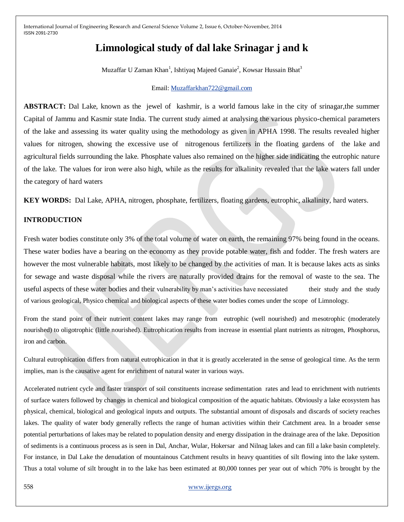# **Limnological study of dal lake Srinagar j and k**

Muzaffar U Zaman Khan<sup>1</sup>, Ishtiyaq Majeed Ganaie<sup>2</sup>, Kowsar Hussain Bhat<sup>3</sup>

#### Email: [Muzaffarkhan722@gmail.com](mailto:Muzaffarkhan722@gmail.com)

**ABSTRACT:** Dal Lake, known as the jewel of kashmir, is a world famous lake in the city of srinagar,the summer Capital of Jammu and Kasmir state India. The current study aimed at analysing the various physico-chemical parameters of the lake and assessing its water quality using the methodology as given in APHA 1998. The results revealed higher values for nitrogen, showing the excessive use of nitrogenous fertilizers in the floating gardens of the lake and agricultural fields surrounding the lake. Phosphate values also remained on the higher side indicating the eutrophic nature of the lake. The values for iron were also high, while as the results for alkalinity revealed that the lake waters fall under the category of hard waters

**KEY WORDS:** Dal Lake, APHA, nitrogen, phosphate, fertilizers, floating gardens, eutrophic, alkalinity, hard waters.

## **INTRODUCTION**

Fresh water bodies constitute only 3% of the total volume of water on earth, the remaining 97% being found in the oceans. These water bodies have a bearing on the economy as they provide potable water, fish and fodder. The fresh waters are however the most vulnerable habitats, most likely to be changed by the activities of man. It is because lakes acts as sinks for sewage and waste disposal while the rivers are naturally provided drains for the removal of waste to the sea. The useful aspects of these water bodies and their vulnerability by man's activities have necessiated their study and the study of various geological, Physico chemical and biological aspects of these water bodies comes under the scope of Limnology.

From the stand point of their nutrient content lakes may range from eutrophic (well nourished) and mesotrophic (moderately nourished) to oligotrophic (little nourished). Eutrophication results from increase in essential plant nutrients as nitrogen, Phosphorus, iron and carbon.

Cultural eutrophication differs from natural eutrophication in that it is greatly accelerated in the sense of geological time. As the term implies, man is the causative agent for enrichment of natural water in various ways.

Accelerated nutrient cycle and faster transport of soil constituents increase sedimentation rates and lead to enrichment with nutrients of surface waters followed by changes in chemical and biological composition of the aquatic habitats. Obviously a lake ecosystem has physical, chemical, biological and geological inputs and outputs. The substantial amount of disposals and discards of society reaches lakes. The quality of water body generally reflects the range of human activities within their Catchment area. In a broader sense potential perturbations of lakes may be related to population density and energy dissipation in the drainage area of the lake. Deposition of sediments is a continuous process as is seen in Dal, Anchar, Wular, Hokersar and Nilnag lakes and can fill a lake basin completely. For instance, in Dal Lake the denudation of mountainous Catchment results in heavy quantities of silt flowing into the lake system. Thus a total volume of silt brought in to the lake has been estimated at 80,000 tonnes per year out of which 70% is brought by the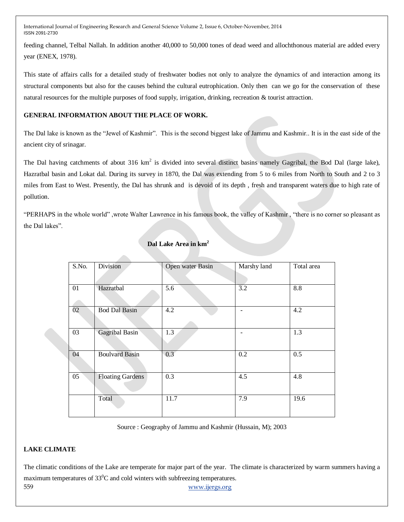feeding channel, Telbal Nallah. In addition another 40,000 to 50,000 tones of dead weed and allochthonous material are added every year (ENEX, 1978).

This state of affairs calls for a detailed study of freshwater bodies not only to analyze the dynamics of and interaction among its structural components but also for the causes behind the cultural eutrophication. Only then can we go for the conservation of these natural resources for the multiple purposes of food supply, irrigation, drinking, recreation & tourist attraction.

#### **GENERAL INFORMATION ABOUT THE PLACE OF WORK.**

**Allen** 

The Dal lake is known as the "Jewel of Kashmir". This is the second biggest lake of Jammu and Kashmir.. It is in the east side of the ancient city of srinagar.

The Dal having catchments of about 316  $km^2$  is divided into several distinct basins namely Gagribal, the Bod Dal (large lake), Hazratbal basin and Lokat dal. During its survey in 1870, the Dal was extending from 5 to 6 miles from North to South and 2 to 3 miles from East to West. Presently, the Dal has shrunk and is devoid of its depth , fresh and transparent waters due to high rate of pollution.

"PERHAPS in the whole world" ,wrote Walter Lawrence in his famous book, the valley of Kashmir , "there is no corner so pleasant as the Dal lakes".

| S.No. | Division                | Open water Basin | Marshy land       | Total area       |
|-------|-------------------------|------------------|-------------------|------------------|
|       |                         |                  |                   |                  |
| 01    | Hazratbal               | 5.6              | 3.2               | 8.8              |
| 02    | <b>Bod Dal Basin</b>    | 4.2              | $\qquad \qquad -$ | 4.2              |
| 03    | Gagribal Basin          | $\overline{1.3}$ |                   | $\overline{1.3}$ |
| 04    | <b>Boulvard Basin</b>   | 0.3              | $\overline{0.2}$  | 0.5              |
| 05    | <b>Floating Gardens</b> | $\overline{0.3}$ | 4.5               | 4.8              |
|       | Total                   | 11.7             | 7.9               | 19.6             |

#### **Dal Lake Area in km<sup>2</sup>**

Source : Geography of Jammu and Kashmir (Hussain, M); 2003

#### **LAKE CLIMATE**

559 www.ijergs.org The climatic conditions of the Lake are temperate for major part of the year. The climate is characterized by warm summers having a maximum temperatures of  $33^0C$  and cold winters with subfreezing temperatures.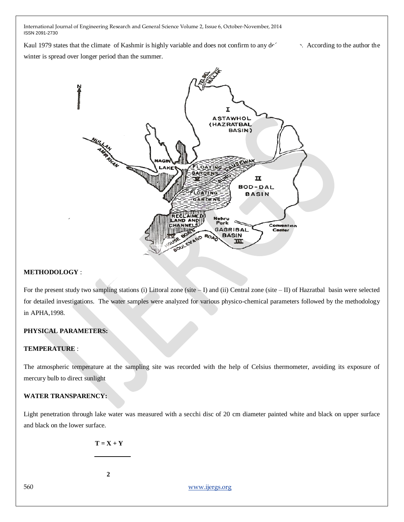Kaul 1979 states that the climate of Kashmir is highly variable and does not confirm to any  $d\epsilon$  According to the author the

winter is spread over longer period than the summer.



#### **METHODOLOGY** :

For the present study two sampling stations (i) Littoral zone (site – I) and (ii) Central zone (site – II) of Hazratbal basin were selected for detailed investigations. The water samples were analyzed for various physico-chemical parameters followed by the methodology in APHA,1998.

#### **PHYSICAL PARAMETERS:**

#### **TEMPERATURE** :

The atmospheric temperature at the sampling site was recorded with the help of Celsius thermometer, avoiding its exposure of mercury bulb to direct sunlight

## **WATER TRANSPARENCY:**

Light penetration through lake water was measured with a secchi disc of 20 cm diameter painted white and black on upper surface and black on the lower surface.

 $T = X + Y$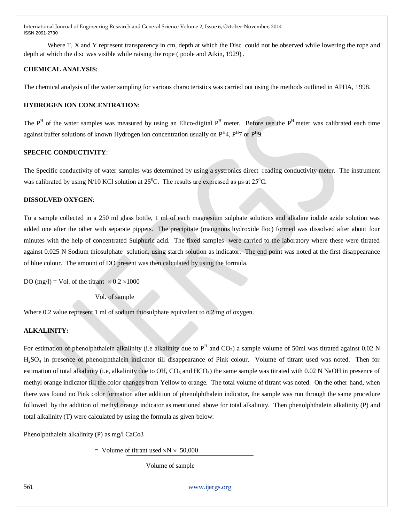Where T, X and Y represent transparency in cm, depth at which the Disc could not be observed while lowering the rope and depth at which the disc was visible while raising the rope ( poole and Atkin, 1929) .

#### **CHEMICAL ANALYSIS:**

The chemical analysis of the water sampling for various characteristics was carried out using the methods outlined in APHA, 1998.

## **HYDROGEN ION CONCENTRATION**:

The  $P<sup>H</sup>$  of the water samples was measured by using an Elico-digital  $P<sup>H</sup>$  meter. Before use the  $P<sup>H</sup>$  meter was calibrated each time against buffer solutions of known Hydrogen ion concentration usually on  $P^H4$ ,  $P^H7$  or  $P^H9$ .

## **SPECFIC CONDUCTIVITY**:

The Specific conductivity of water samples was determined by using a systronics direct reading conductivity meter. The instrument was calibrated by using N/10 KCl solution at  $25^{\circ}$ C. The results are expressed as  $\mu$ s at  $25^{\circ}$ C.

#### **DISSOLVED OXYGEN**:

To a sample collected in a 250 ml glass bottle, 1 ml of each magnesium sulphate solutions and alkaline iodide azide solution was added one after the other with separate pippets. The precipitate (mangnous hydroxide floc) formed was dissolved after about four minutes with the help of concentrated Sulphuric acid. The fixed samples were carried to the laboratory where these were titrated against 0.025 N Sodium thiosulphate solution, using starch solution as indicator. The end point was noted at the first disappearance of blue colour. The amount of DO present was then calculated by using the formula.

DO (mg/l) = Vol. of the titrant  $\times$  0.2  $\times$ 1000

Vol. of sample

Where 0.2 value represent 1 ml of sodium thiosulphate equivalent to 0.2 mg of oxygen.

#### **ALKALINITY:**

For estimation of phenolphthalein alkalinity (i.e alkalinity due to  $P^H$  and  $CO_2$ ) a sample volume of 50ml was titrated against 0.02 N H2SO<sup>4</sup> in presence of phenolphthalein indicator till disappearance of Pink colour. Volume of titrant used was noted. Then for estimation of total alkalinity (i.e, alkalinity due to OH,  $CO_3$  and  $HCO_3$ ) the same sample was titrated with 0.02 N NaOH in presence of methyl orange indicator till the color changes from Yellow to orange. The total volume of titrant was noted. On the other hand, when there was found no Pink color formation after addition of phenolphthalein indicator, the sample was run through the same procedure followed by the addition of methyl orange indicator as mentioned above for total alkalinity. Then phenolphthalein alkalinity (P) and total alkalinity (T) were calculated by using the formula as given below:

Phenolphthalein alkalinity (P) as mg/l CaCo3

 $=$  Volume of titrant used  $\times$ N  $\times$  50,000

Volume of sample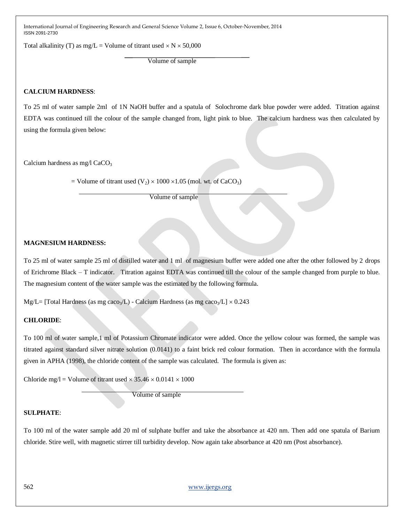Total alkalinity (T) as mg/L = Volume of titrant used  $\times$  N  $\times$  50,000

Volume of sample

#### **CALCIUM HARDNESS**:

To 25 ml of water sample 2ml of 1N NaOH buffer and a spatula of Solochrome dark blue powder were added. Titration against EDTA was continued till the colour of the sample changed from, light pink to blue. The calcium hardness was then calculated by using the formula given below:

Calcium hardness as mg/l CaCO<sub>3</sub>

= Volume of titrant used  $(V_2) \times 1000 \times 1.05$  (mol. wt. of CaCO<sub>3</sub>)

Volume of sample

## **MAGNESIUM HARDNESS:**

To 25 ml of water sample 25 ml of distilled water and 1 ml of magnesium buffer were added one after the other followed by 2 drops of Erichrome Black – T indicator. Titration against EDTA was continued till the colour of the sample changed from purple to blue. The magnesium content of the water sample was the estimated by the following formula.

Mg/L= [Total Hardness (as mg caco<sub>3</sub>/L) - Calcium Hardness (as mg caco<sub>3</sub>/L]  $\times$  0.243

#### **CHLORIDE**:

To 100 ml of water sample,1 ml of Potassium Chromate indicator were added. Once the yellow colour was formed, the sample was titrated against standard silver nitrate solution (0.0141) to a faint brick red colour formation. Then in accordance with the formula given in APHA (1998), the chloride content of the sample was calculated. The formula is given as:

Chloride mg/l = Volume of titrant used  $\times$  35.46  $\times$  0.0141  $\times$  1000

Volume of sample

#### **SULPHATE**:

To 100 ml of the water sample add 20 ml of sulphate buffer and take the absorbance at 420 nm. Then add one spatula of Barium chloride. Stire well, with magnetic stirrer till turbidity develop. Now again take absorbance at 420 nm (Post absorbance).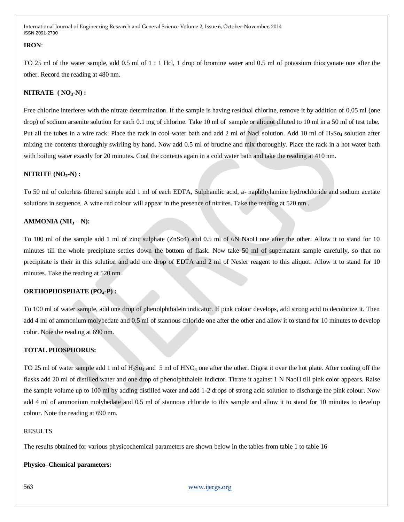#### **IRON**:

TO 25 ml of the water sample, add 0.5 ml of 1 : 1 Hcl, 1 drop of bromine water and 0.5 ml of potassium thiocyanate one after the other. Record the reading at 480 nm.

## **NITRATE ( NO3-N) :**

Free chlorine interferes with the nitrate determination. If the sample is having residual chlorine, remove it by addition of 0.05 ml (one drop) of sodium arsenite solution for each 0.1 mg of chlorine. Take 10 ml of sample or aliquot diluted to 10 ml in a 50 ml of test tube. Put all the tubes in a wire rack. Place the rack in cool water bath and add 2 ml of Nacl solution. Add 10 ml of  $H_2$ So<sub>4</sub> solution after mixing the contents thoroughly swirling by hand. Now add 0.5 ml of brucine and mix thoroughly. Place the rack in a hot water bath with boiling water exactly for 20 minutes. Cool the contents again in a cold water bath and take the reading at 410 nm.

#### **NITRITE (NO2-N) :**

To 50 ml of colorless filtered sample add 1 ml of each EDTA, Sulphanilic acid, a- naphthylamine hydrochloride and sodium acetate solutions in sequence. A wine red colour will appear in the presence of nitrites. Take the reading at 520 nm .

#### **AMMONIA (NH<sup>3</sup> – N):**

To 100 ml of the sample add 1 ml of zinc sulphate (ZnSo4) and 0.5 ml of 6N NaoH one after the other. Allow it to stand for 10 minutes till the whole precipitate settles down the bottom of flask. Now take 50 ml of supernatant sample carefully, so that no precipitate is their in this solution and add one drop of EDTA and 2 ml of Nesler reagent to this aliquot. Allow it to stand for 10 minutes. Take the reading at 520 nm.

#### **ORTHOPHOSPHATE (PO4-P) :**

To 100 ml of water sample, add one drop of phenolphthalein indicator. If pink colour develops, add strong acid to decolorize it. Then add 4 ml of ammonium molybedate and 0.5 ml of stannous chloride one after the other and allow it to stand for 10 minutes to develop color. Note the reading at 690 nm.

#### **TOTAL PHOSPHORUS:**

TO 25 ml of water sample add 1 ml of H<sub>2</sub>S<sub>O4</sub> and 5 ml of HNO<sub>3</sub> one after the other. Digest it over the hot plate. After cooling off the flasks add 20 ml of distilled water and one drop of phenolphthalein indictor. Titrate it against 1 N NaoH till pink color appears. Raise the sample volume up to 100 ml by adding distilled water and add 1-2 drops of strong acid solution to discharge the pink colour. Now add 4 ml of ammonium molybedate and 0.5 ml of stannous chloride to this sample and allow it to stand for 10 minutes to develop colour. Note the reading at 690 nm.

#### RESULTS

The results obtained for various physicochemical parameters are shown below in the tables from table 1 to table 16

## **Physico–Chemical parameters:**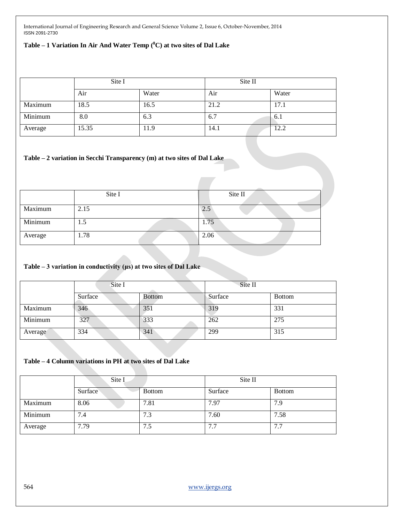## **Table – 1 Variation In Air And Water Temp (<sup>0</sup>C) at two sites of Dal Lake**

|         | Site I |       | Site II |       |
|---------|--------|-------|---------|-------|
|         | Air    | Water | Air     | Water |
| Maximum | 18.5   | 16.5  | 21.2    | 17.1  |
| Minimum | 8.0    | 6.3   | 6.7     | .6.1  |
| Average | 15.35  | 11.9  | 14.1    | 12.2  |

#### **Table – 2 variation in Secchi Transparency (m) at two sites of Dal Lake**

|         | Site I | Site II |
|---------|--------|---------|
| Maximum | 2.15   | 2.5     |
| Minimum | 1.5    | 1.75    |
| Average | 1.78   | 2.06    |

## **Table – 3 variation in conductivity (μs) at two sites of Dal Lake**

|         | Site I  |               | Site II |               |
|---------|---------|---------------|---------|---------------|
|         | Surface | <b>Bottom</b> | Surface | <b>Bottom</b> |
| Maximum | 346     | 351           | 319     | 331           |
| Minimum | 327     | 333           | 262     | 275           |
| Average | 334     | 341           | 299     | 315           |

## **Table – 4 Column variations in PH at two sites of Dal Lake**

|         | Site I  |               | Site II             |               |
|---------|---------|---------------|---------------------|---------------|
|         | Surface | <b>Bottom</b> | Surface             | <b>Bottom</b> |
| Maximum | 8.06    | 7.81          | 7.97                | 7.9           |
| Minimum | 7.4     | 7.3           | 7.60                | 7.58          |
| Average | 7.79    | 7.5           | 77<br>$\frac{1}{2}$ | 7.7           |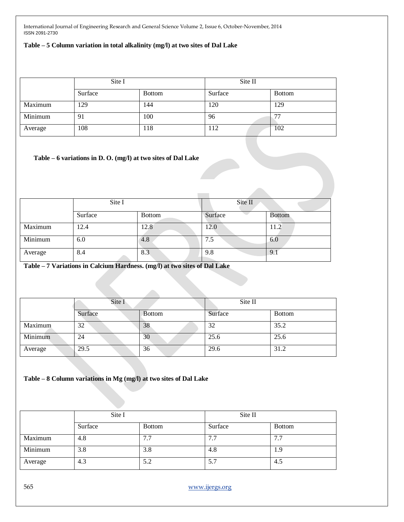#### **Table – 5 Column variation in total alkalinity (mg/l) at two sites of Dal Lake**

|         | Site I  |               | Site II |                          |
|---------|---------|---------------|---------|--------------------------|
|         | Surface | <b>Bottom</b> | Surface | <b>Bottom</b>            |
| Maximum | 129     | 144           | 120     | 129                      |
| Minimum | 91      | 100           | 96      | $\overline{\phantom{a}}$ |
| Average | 108     | 118           | 112     | 102                      |

#### **Table – 6 variations in D. O. (mg/l) at two sites of Dal Lake**

|         | Site I  |               | Site II |               |
|---------|---------|---------------|---------|---------------|
|         | Surface | <b>Bottom</b> | Surface | <b>Bottom</b> |
| Maximum | 12.4    | 12.8          | 12.0    | 11.2          |
| Minimum | 6.0     | 4.8           | 7.5     | 6.0           |
| Average | 8.4     | 8.3           | 9.8     | 9.1           |

## **Table – 7 Variations in Calcium Hardness. (mg/l) at two sites of Dal Lake**

|         | Site I  |               | Site II |               |
|---------|---------|---------------|---------|---------------|
|         | Surface | <b>Bottom</b> | Surface | <b>Bottom</b> |
| Maximum | 32      | 38            | 32      | 35.2          |
| Minimum | 24      | 30            | 25.6    | 25.6          |
| Average | 29.5    | 36            | 29.6    | 31.2          |

#### **Table – 8 Column variations in Mg (mg/l) at two sites of Dal Lake**

|         | Site I  |               | Site II |               |
|---------|---------|---------------|---------|---------------|
|         | Surface | <b>Bottom</b> | Surface | <b>Bottom</b> |
| Maximum | 4.8     | 7.7           | 7.7     | 7.7           |
| Minimum | 3.8     | 3.8           | 4.8     | 1.9           |
| Average | 4.3     | 5.2           | 5.7     | -4.5          |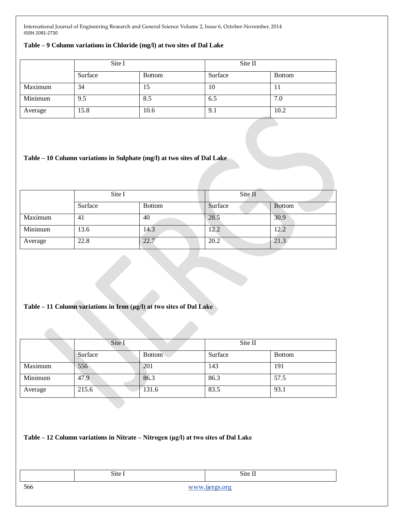#### **Table – 9 Column variations in Chloride (mg/l) at two sites of Dal Lake**

|         | Site I  |               | Site II |               |
|---------|---------|---------------|---------|---------------|
|         | Surface | <b>Bottom</b> | Surface | <b>Bottom</b> |
| Maximum | 34      | 15            | 10      |               |
| Minimum | 9.5     | 8.5           | 6.5     | 7.0           |
| Average | 15.8    | 10.6          | 9.1     | 10.2          |

#### **Table – 10 Column variations in Sulphate (mg/l) at two sites of Dal Lake**

|         | Site I  |               | Site II |               |
|---------|---------|---------------|---------|---------------|
|         | Surface | <b>Bottom</b> | Surface | <b>Bottom</b> |
| Maximum | 41      | 40            | 28.5    | 30.9          |
| Minimum | 13.6    | 14.3          | 12.2    | 12.2          |
| Average | 22.8    | 22.7          | 20.2    | 21.3          |

## **Table – 11 Column variations in Iron (μg/l) at two sites of Dal Lake**

|         | Site I  |               | Site II |               |
|---------|---------|---------------|---------|---------------|
|         | Surface | <b>Bottom</b> | Surface | <b>Bottom</b> |
| Maximum | 556     | 201           | 143     | 191           |
| Minimum | 47.9    | 86.3          | 86.3    | 57.5          |
| Average | 215.6   | 131.6         | 83.5    | 93.1          |

**Table – 12 Column variations in Nitrate – Nitrogen (μg/l) at two sites of Dal Lake**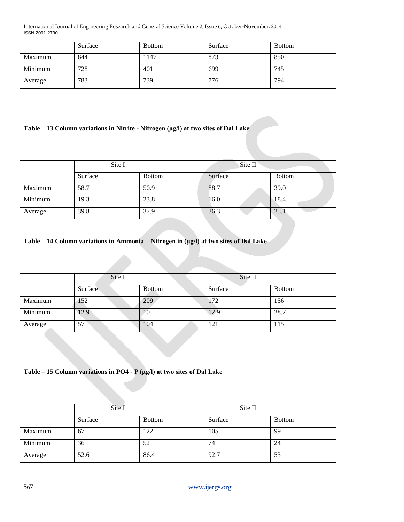|         | Surface | <b>Bottom</b> | Surface | <b>Bottom</b> |
|---------|---------|---------------|---------|---------------|
| Maximum | 844     | 147ء          | 873     | 850           |
| Minimum | 728     | 401           | 699     | 745           |
| Average | 783     | 739           | 776     | 794           |

## **Table – 13 Column variations in Nitrite - Nitrogen (μg/l) at two sites of Dal Lake**

|         | Site I  |               | Site II |               |
|---------|---------|---------------|---------|---------------|
|         | Surface | <b>Bottom</b> | Surface | <b>Bottom</b> |
| Maximum | 58.7    | 50.9          | 88.7    | 39.0          |
| Minimum | 19.3    | 23.8          | 16.0    | 18.4          |
| Average | 39.8    | 37.9          | 36.3    | 25.1          |

## **Table – 14 Column variations in Ammonia – Nitrogen in (μg/l) at two sites of Dal Lake**

|         | Site I  |               | Site II |               |
|---------|---------|---------------|---------|---------------|
|         | Surface | <b>Bottom</b> | Surface | <b>Bottom</b> |
| Maximum | 152     | 209           | 172     | 156           |
| Minimum | 12.9    | 10            | 12.9    | 28.7          |
| Average | 57      | 104           | 121     | 115           |

#### **Table – 15 Column variations in PO4 - P (μg/l) at two sites of Dal Lake**

|         | Site I  |               | Site II |               |
|---------|---------|---------------|---------|---------------|
|         | Surface | <b>Bottom</b> | Surface | <b>Bottom</b> |
| Maximum | 67      | 122           | 105     | 99            |
| Minimum | 36      | 52            | 74      | 24            |
| Average | 52.6    | 86.4          | 92.7    | 53            |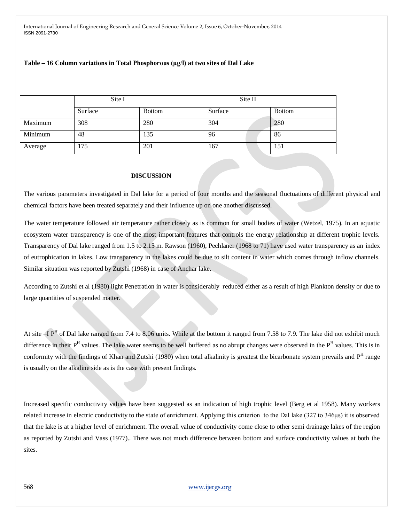#### **Table – 16 Column variations in Total Phosphorous (μg**/**l) at two sites of Dal Lake**

|         | Site I  |               | Site II |               |
|---------|---------|---------------|---------|---------------|
|         | Surface | <b>Bottom</b> | Surface | <b>Bottom</b> |
| Maximum | 308     | 280           | 304     | 280           |
| Minimum | 48      | 135           | 96      | 86            |
| Average | 175     | 201           | 167     | 151           |

#### **DISCUSSION**

The various parameters investigated in Dal lake for a period of four months and the seasonal fluctuations of different physical and chemical factors have been treated separately and their influence up on one another discussed.

The water temperature followed air temperature rather closely as is common for small bodies of water (Wetzel, 1975). In an aquatic ecosystem water transparency is one of the most important features that controls the energy relationship at different trophic levels. Transparency of Dal lake ranged from 1.5 to 2.15 m. Rawson (1960), Pechlaner (1968 to 71) have used water transparency as an index of eutrophication in lakes. Low transparency in the lakes could be due to silt content in water which comes through inflow channels. Similar situation was reported by Zutshi (1968) in case of Anchar lake.

According to Zutshi et al (1980) light Penetration in water is considerably reduced either as a result of high Plankton density or due to large quantities of suspended matter.

At site  $-I$   $P<sup>H</sup>$  of Dal lake ranged from 7.4 to 8.06 units. While at the bottom it ranged from 7.58 to 7.9. The lake did not exhibit much difference in their P<sup>H</sup> values. The lake water seems to be well buffered as no abrupt changes were observed in the P<sup>H</sup> values. This is in conformity with the findings of Khan and Zutshi (1980) when total alkalinity is greatest the bicarbonate system prevails and P<sup>H</sup> range is usually on the alkaline side as is the case with present findings.

Increased specific conductivity values have been suggested as an indication of high trophic level (Berg et al 1958). Many workers related increase in electric conductivity to the state of enrichment. Applying this criterion to the Dal lake (327 to 346μs) it is observed that the lake is at a higher level of enrichment. The overall value of conductivity come close to other semi drainage lakes of the region as reported by Zutshi and Vass (1977).. There was not much difference between bottom and surface conductivity values at both the sites.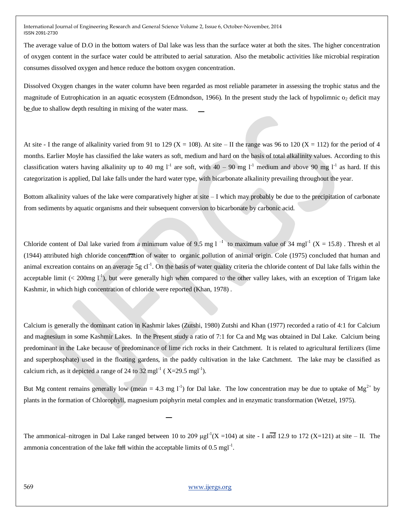The average value of D.O in the bottom waters of Dal lake was less than the surface water at both the sites. The higher concentration of oxygen content in the surface water could be attributed to aerial saturation. Also the metabolic activities like microbial respiration consumes dissolved oxygen and hence reduce the bottom oxygen concentration.

Dissolved Oxygen changes in the water column have been regarded as most reliable parameter in assessing the trophic status and the magnitude of Eutrophication in an aquatic ecosystem (Edmondson, 1966). In the present study the lack of hypolimnic  $o_2$  deficit may be due to shallow depth resulting in mixing of the water mass.

At site - I the range of alkalinity varied from 91 to 129 (X = 108). At site – II the range was 96 to 120 (X = 112) for the period of 4 months. Earlier Moyle has classified the lake waters as soft, medium and hard on the basis of total alkalinity values. According to this classification waters having alkalinity up to 40 mg l<sup>-1</sup> are soft, with 40 – 90 mg l<sup>-1</sup> medium and above 90 mg l<sup>-1</sup> as hard. If this categorization is applied, Dal lake falls under the hard water type, with bicarbonate alkalinity prevailing throughout the year.

Bottom alkalinity values of the lake were comparatively higher at site – I which may probably be due to the precipitation of carbonate from sediments by aquatic organisms and their subsequent conversion to bicarbonate by carbonic acid.

Chloride content of Dal lake varied from a minimum value of 9.5 mg l<sup>-1</sup> to maximum value of 34 mgl<sup>-1</sup> (X = 15.8). Thresh et al (1944) attributed high chloride concentration of water to organic pollution of animal origin. Cole (1975) concluded that human and animal excreation contains on an average 5g cl<sup>-1</sup>. On the basis of water quality criteria the chloride content of Dal lake falls within the acceptable limit (< 200mg  $1^{-1}$ ), but were generally high when compared to the other valley lakes, with an exception of Trigam lake Kashmir, in which high concentration of chloride were reported (Khan, 1978) .

Calcium is generally the dominant cation in Kashmir lakes (Zutshi, 1980) Zutshi and Khan (1977) recorded a ratio of 4:1 for Calcium and magnesium in some Kashmir Lakes. In the Present study a ratio of 7:1 for Ca and Mg was obtained in Dal Lake. Calcium being predominant in the Lake because of predominance of lime rich rocks in their Catchment. It is related to agricultural fertilizers (lime and superphosphate) used in the floating gardens, in the paddy cultivation in the lake Catchment. The lake may be classified as calcium rich, as it depicted a range of 24 to 32 mgl<sup>-1</sup> ( $X=29.5$  mgl<sup>-1</sup>).

But Mg content remains generally low (mean = 4.3 mg  $l^{-1}$ ) for Dal lake. The low concentration may be due to uptake of Mg<sup>2+</sup> by plants in the formation of Chlorophyll, magnesium poiphyrin metal complex and in enzymatic transformation (Wetzel, 1975).

The ammonical–nitrogen in Dal Lake ranged between 10 to 209  $\mu$ gl<sup>-1</sup>(X = 104) at site - I and 12.9 to 172 (X=121) at site – II. The ammonia concentration of the lake  $f$ a that within the acceptable limits of 0.5 mgl<sup>-1</sup>.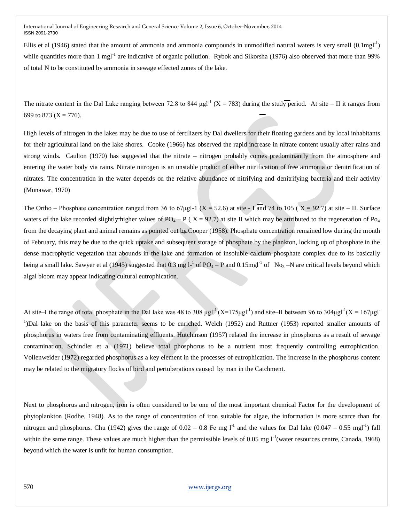Ellis et al (1946) stated that the amount of ammonia and ammonia compounds in unmodified natural waters is very small  $(0.1$ mgl<sup>-1</sup>) while quantities more than 1 mgl<sup>-1</sup> are indicative of organic pollution. Rybok and Sikorsha (1976) also observed that more than 99% of total N to be constituted by ammonia in sewage effected zones of the lake.

The nitrate content in the Dal Lake ranging between 72.8 to 844  $\mu$ gl<sup>-1</sup> (X = 783) during the study period. At site – II it ranges from 699 to 873 ( $X = 776$ ).

High levels of nitrogen in the lakes may be due to use of fertilizers by Dal dwellers for their floating gardens and by local inhabitants for their agricultural land on the lake shores. Cooke (1966) has observed the rapid increase in nitrate content usually after rains and strong winds. Caulton (1970) has suggested that the nitrate – nitrogen probably comes predominantly from the atmosphere and entering the water body via rains. Nitrate nitrogen is an unstable product of either nitrification of free ammonia or denitrification of nitrates. The concentration in the water depends on the relative abundance of nitrifying and denitrifying bacteria and their activity (Munawar, 1970)

The Ortho – Phosphate concentration ranged from 36 to 67µgl-1 (X = 52.6) at site - I and 74 to 105 (X = 92.7) at site – II. Surface waters of the lake recorded slightly higher values of PO<sub>4</sub> – P ( $X = 92.7$ ) at site II which may be attributed to the regeneration of P<sub>O<sub>4</sub></sub> from the decaying plant and animal remains as pointed out by Cooper (1958). Phosphate concentration remained low during the month of February, this may be due to the quick uptake and subsequent storage of phosphate by the plankton, locking up of phosphate in the dense macrophytic vegetation that abounds in the lake and formation of insoluble calcium phosphate complex due to its basically being a small lake. Sawyer et al (1945) suggested that 0.3 mg  $l^{-1}$  of PO<sub>4</sub> – P and 0.15mgl<sup>-1</sup> of No<sub>3</sub> –N are critical levels beyond which algal bloom may appear indicating cultural eutrophication.

At site–I the range of total phosphate in the Dal lake was 48 to 308  $\mu$ gl<sup>-1</sup> (X=175 $\mu$ gl<sup>-1</sup>) and site–II between 96 to 304 $\mu$ gl<sup>-1</sup>(X = 167 $\mu$ gl<sup>-1</sup>) <sup>1</sup>)Dal lake on the basis of this parameter seems to be enriched. Welch (1952) and Ruttner (1953) reported smaller amounts of phosphorus in waters free from contaminating effluents. Hutchinson (1957) related the increase in phosphorus as a result of sewage contamination. Schindler et al (1971) believe total phosphorus to be a nutrient most frequently controlling eutrophication. Vollenweider (1972) regarded phosphorus as a key element in the processes of eutrophication. The increase in the phosphorus content may be related to the migratory flocks of bird and pertuberations caused by man in the Catchment.

Next to phosphorus and nitrogen, iron is often considered to be one of the most important chemical Factor for the development of phytoplankton (Rodhe, 1948). As to the range of concentration of iron suitable for algae, the information is more scarce than for nitrogen and phosphorus. Chu (1942) gives the range of  $0.02 - 0.8$  Fe mg  $1<sup>-1</sup>$  and the values for Dal lake  $(0.047 - 0.55$  mgl<sup>-1</sup>) fall within the same range. These values are much higher than the permissible levels of  $0.05$  mg  $1^{-1}$ (water resources centre, Canada, 1968) beyond which the water is unfit for human consumption.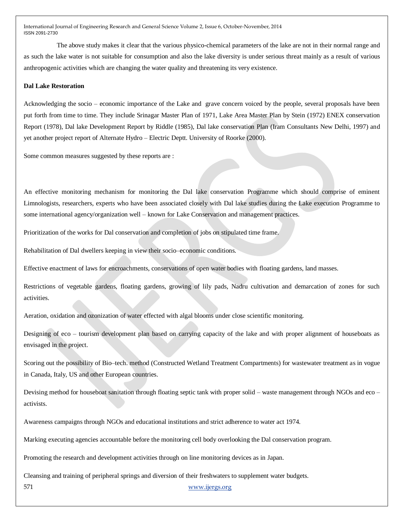The above study makes it clear that the various physico-chemical parameters of the lake are not in their normal range and as such the lake water is not suitable for consumption and also the lake diversity is under serious threat mainly as a result of various anthropogenic activities which are changing the water quality and threatening its very existence.

#### **Dal Lake Restoration**

Acknowledging the socio – economic importance of the Lake and grave concern voiced by the people, several proposals have been put forth from time to time. They include Srinagar Master Plan of 1971, Lake Area Master Plan by Stein (1972) ENEX conservation Report (1978), Dal lake Development Report by Riddle (1985), Dal lake conservation Plan (Iram Consultants New Delhi, 1997) and yet another project report of Alternate Hydro – Electric Deptt. University of Roorke (2000).

Some common measures suggested by these reports are :

An effective monitoring mechanism for monitoring the Dal lake conservation Programme which should comprise of eminent Limnologists, researchers, experts who have been associated closely with Dal lake studies during the Lake execution Programme to some international agency/organization well – known for Lake Conservation and management practices.

Prioritization of the works for Dal conservation and completion of jobs on stipulated time frame.

Rehabilitation of Dal dwellers keeping in view their socio–economic conditions.

Effective enactment of laws for encroachments, conservations of open water bodies with floating gardens, land masses.

Restrictions of vegetable gardens, floating gardens, growing of lily pads, Nadru cultivation and demarcation of zones for such activities.

Aeration, oxidation and ozonization of water effected with algal blooms under close scientific monitoring.

Designing of eco – tourism development plan based on carrying capacity of the lake and with proper alignment of houseboats as envisaged in the project.

Scoring out the possibility of Bio–tech. method (Constructed Wetland Treatment Compartments) for wastewater treatment as in vogue in Canada, Italy, US and other European countries.

Devising method for houseboat sanitation through floating septic tank with proper solid – waste management through NGOs and eco – activists.

Awareness campaigns through NGOs and educational institutions and strict adherence to water act 1974.

Marking executing agencies accountable before the monitoring cell body overlooking the Dal conservation program.

Promoting the research and development activities through on line monitoring devices as in Japan.

Cleansing and training of peripheral springs and diversion of their freshwaters to supplement water budgets.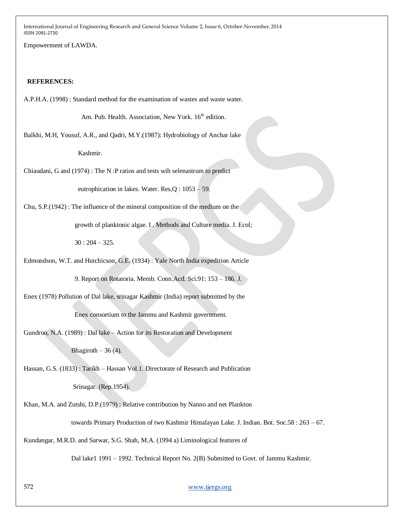Empowerment of LAWDA.

#### **REFERENCES:**

A.P.H.A. (1998) : Standard method for the examination of wastes and waste water.

Am. Pub. Health. Association, New York. 16<sup>th</sup> edition.

Balkhi, M.H, Yousuf, A.R., and Qadri, M.Y.(1987): Hydrobiology of Anchar lake

Kashmir.

Chiaudani, G and (1974) : The N :P ratios and tests wih selenastrum to predict

eutrophication in lakes. Water. Res,Q : 1053 – 59.

Chu, S.P.(1942) : The influence of the mineral composition of the medium on the

growth of planktonic algae. I . Methods and Culture media. J. Ecol;

30 : 204 – 325.

Edmondson, W.T. and Hutchicson, G.E. (1934) : Yale North India expedition Article

9. Report on Rotatoria. Memb. Conn.Acd. Sci.91: 153 – 186. J.

Enex (1978) Pollution of Dal lake, srinagar Kashmir (India) report submitted by the Enex consortium to the Jammu and Kashmir government.

Gundroo, N.A. (1989) : Dal lake – Action for its Restoration and Development

Bhagiroth  $-36(4)$ .

Hassan, G.S. (1833) : Tarikh – Hassan Vol.1. Directorate of Research and Publication

Srinagar. (Rep.1954).

Khan, M.A. and Zutshi, D.P.(1979) : Relative contribution by Nanno and net Plankton

towards Primary Production of two Kashmir Himalayan Lake. J. Indian. Bot. Soc.58 : 263 – 67.

Kundangar, M.R.D. and Sarwar, S.G. Shah, M.A. (1994 a) Liminological features of

Dal lake1 1991 – 1992. Technical Report No. 2(B) Submitted to Govt. of Jammu Kashmir.